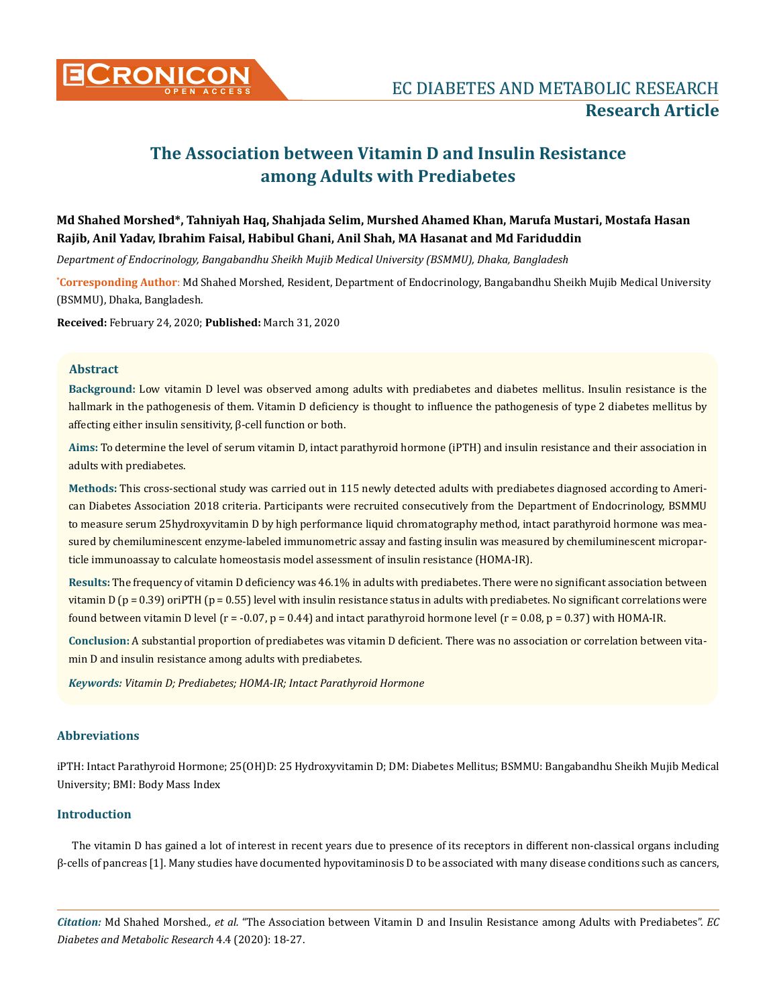

# **The Association between Vitamin D and Insulin Resistance among Adults with Prediabetes**

# **Md Shahed Morshed\*, Tahniyah Haq, Shahjada Selim, Murshed Ahamed Khan, Marufa Mustari, Mostafa Hasan Rajib, Anil Yadav, Ibrahim Faisal, Habibul Ghani, Anil Shah, MA Hasanat and Md Fariduddin**

*Department of Endocrinology, Bangabandhu Sheikh Mujib Medical University (BSMMU), Dhaka, Bangladesh*

**\* Corresponding Author**: Md Shahed Morshed, Resident, Department of Endocrinology, Bangabandhu Sheikh Mujib Medical University (BSMMU), Dhaka, Bangladesh.

**Received:** February 24, 2020; **Published:** March 31, 2020

# **Abstract**

**Background:** Low vitamin D level was observed among adults with prediabetes and diabetes mellitus. Insulin resistance is the hallmark in the pathogenesis of them. Vitamin D deficiency is thought to influence the pathogenesis of type 2 diabetes mellitus by affecting either insulin sensitivity, β-cell function or both.

**Aims:** To determine the level of serum vitamin D, intact parathyroid hormone (iPTH) and insulin resistance and their association in adults with prediabetes.

**Methods:** This cross-sectional study was carried out in 115 newly detected adults with prediabetes diagnosed according to American Diabetes Association 2018 criteria. Participants were recruited consecutively from the Department of Endocrinology, BSMMU to measure serum 25hydroxyvitamin D by high performance liquid chromatography method, intact parathyroid hormone was measured by chemiluminescent enzyme-labeled immunometric assay and fasting insulin was measured by chemiluminescent microparticle immunoassay to calculate homeostasis model assessment of insulin resistance (HOMA-IR).

**Results:** The frequency of vitamin D deficiency was 46.1% in adults with prediabetes. There were no significant association between vitamin D ( $p = 0.39$ ) oriPTH ( $p = 0.55$ ) level with insulin resistance status in adults with prediabetes. No significant correlations were found between vitamin D level ( $r = -0.07$ ,  $p = 0.44$ ) and intact parathyroid hormone level ( $r = 0.08$ ,  $p = 0.37$ ) with HOMA-IR.

**Conclusion:** A substantial proportion of prediabetes was vitamin D deficient. There was no association or correlation between vitamin D and insulin resistance among adults with prediabetes.

*Keywords: Vitamin D; Prediabetes; HOMA-IR; Intact Parathyroid Hormone*

# **Abbreviations**

iPTH: Intact Parathyroid Hormone; 25(OH)D: 25 Hydroxyvitamin D; DM: Diabetes Mellitus; BSMMU: Bangabandhu Sheikh Mujib Medical University; BMI: Body Mass Index

# **Introduction**

The vitamin D has gained a lot of interest in recent years due to presence of its receptors in different non-classical organs including β-cells of pancreas [1]. Many studies have documented hypovitaminosis D to be associated with many disease conditions such as cancers,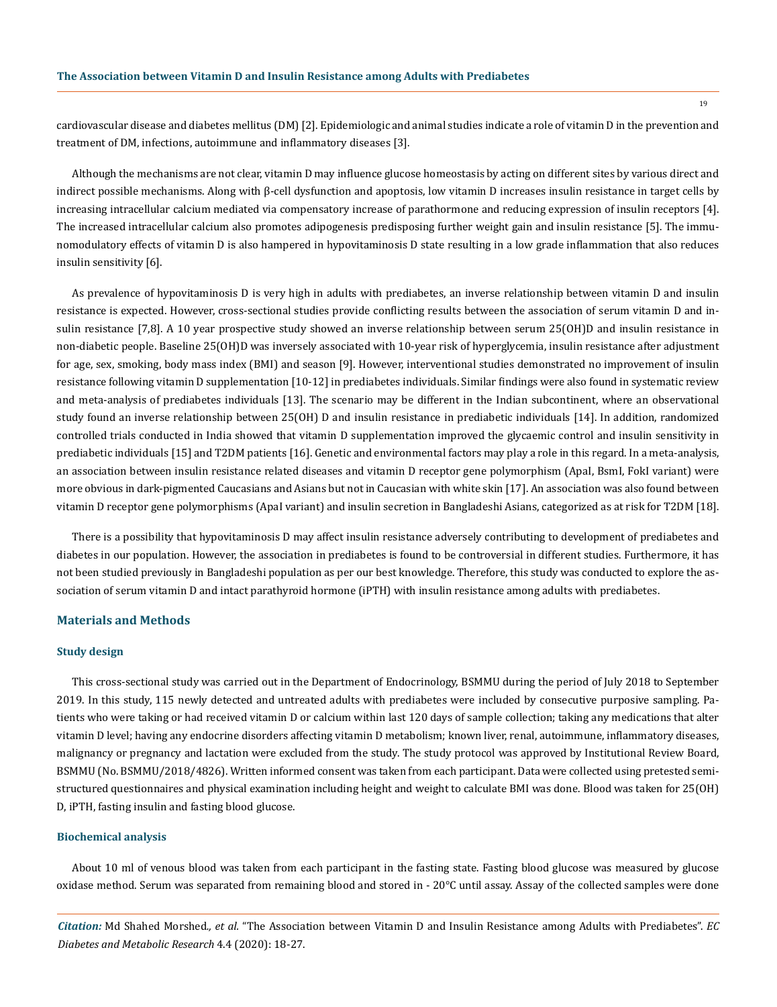cardiovascular disease and diabetes mellitus (DM) [2]. Epidemiologic and animal studies indicate a role of vitamin D in the prevention and treatment of DM, infections, autoimmune and inflammatory diseases [3].

Although the mechanisms are not clear, vitamin D may influence glucose homeostasis by acting on different sites by various direct and indirect possible mechanisms. Along with β-cell dysfunction and apoptosis, low vitamin D increases insulin resistance in target cells by increasing intracellular calcium mediated via compensatory increase of parathormone and reducing expression of insulin receptors [4]. The increased intracellular calcium also promotes adipogenesis predisposing further weight gain and insulin resistance [5]. The immunomodulatory effects of vitamin D is also hampered in hypovitaminosis D state resulting in a low grade inflammation that also reduces insulin sensitivity [6].

As prevalence of hypovitaminosis D is very high in adults with prediabetes, an inverse relationship between vitamin D and insulin resistance is expected. However, cross-sectional studies provide conflicting results between the association of serum vitamin D and insulin resistance [7,8]. A 10 year prospective study showed an inverse relationship between serum 25(OH)D and insulin resistance in non-diabetic people. Baseline 25(OH)D was inversely associated with 10-year risk of hyperglycemia, insulin resistance after adjustment for age, sex, smoking, body mass index (BMI) and season [9]. However, interventional studies demonstrated no improvement of insulin resistance following vitamin D supplementation [10-12] in prediabetes individuals. Similar findings were also found in systematic review and meta-analysis of prediabetes individuals [13]. The scenario may be different in the Indian subcontinent, where an observational study found an inverse relationship between 25(OH) D and insulin resistance in prediabetic individuals [14]. In addition, randomized controlled trials conducted in India showed that vitamin D supplementation improved the glycaemic control and insulin sensitivity in prediabetic individuals [15] and T2DM patients [16]. Genetic and environmental factors may play a role in this regard. In a meta-analysis, an association between insulin resistance related diseases and vitamin D receptor gene polymorphism (ApaI, BsmI, FokI variant) were more obvious in dark-pigmented Caucasians and Asians but not in Caucasian with white skin [17]. An association was also found between vitamin D receptor gene polymorphisms (ApaI variant) and insulin secretion in Bangladeshi Asians, categorized as at risk for T2DM [18].

There is a possibility that hypovitaminosis D may affect insulin resistance adversely contributing to development of prediabetes and diabetes in our population. However, the association in prediabetes is found to be controversial in different studies. Furthermore, it has not been studied previously in Bangladeshi population as per our best knowledge. Therefore, this study was conducted to explore the association of serum vitamin D and intact parathyroid hormone (iPTH) with insulin resistance among adults with prediabetes.

#### **Materials and Methods**

#### **Study design**

This cross-sectional study was carried out in the Department of Endocrinology, BSMMU during the period of July 2018 to September 2019. In this study, 115 newly detected and untreated adults with prediabetes were included by consecutive purposive sampling. Patients who were taking or had received vitamin D or calcium within last 120 days of sample collection; taking any medications that alter vitamin D level; having any endocrine disorders affecting vitamin D metabolism; known liver, renal, autoimmune, inflammatory diseases, malignancy or pregnancy and lactation were excluded from the study. The study protocol was approved by Institutional Review Board, BSMMU (No. BSMMU/2018/4826). Written informed consent was taken from each participant. Data were collected using pretested semistructured questionnaires and physical examination including height and weight to calculate BMI was done. Blood was taken for 25(OH) D, iPTH, fasting insulin and fasting blood glucose.

# **Biochemical analysis**

About 10 ml of venous blood was taken from each participant in the fasting state. Fasting blood glucose was measured by glucose oxidase method. Serum was separated from remaining blood and stored in - 20°C until assay. Assay of the collected samples were done

*Citation:* Md Shahed Morshed*., et al.* "The Association between Vitamin D and Insulin Resistance among Adults with Prediabetes". *EC Diabetes and Metabolic Research* 4.4 (2020): 18-27.

19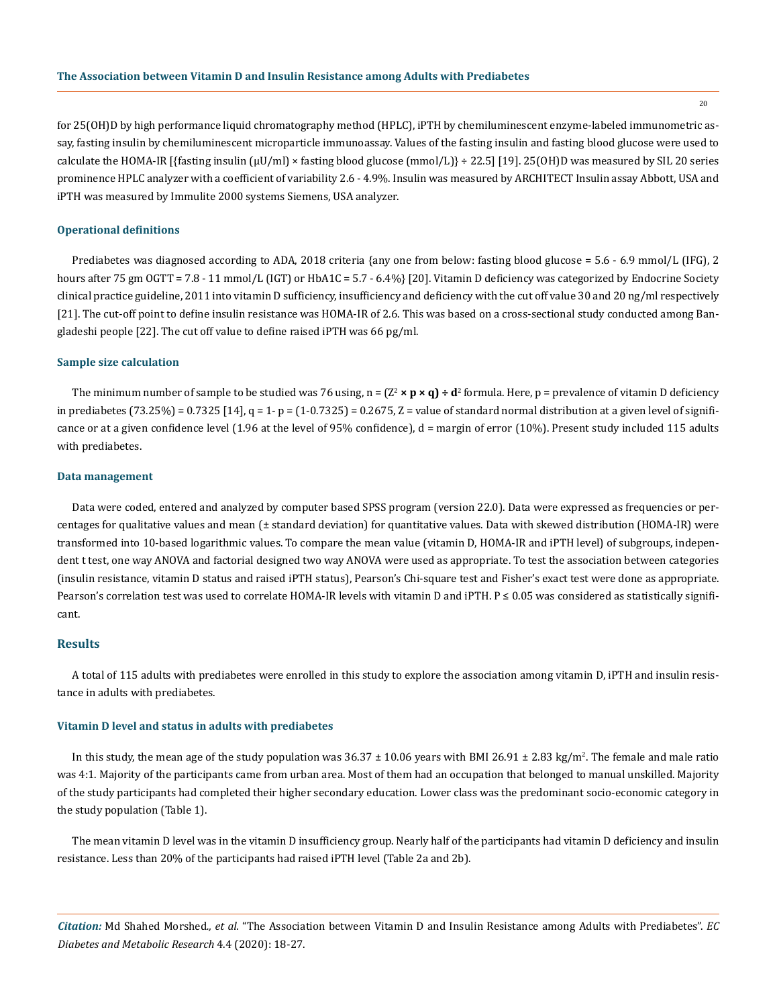20

for 25(OH)D by high performance liquid chromatography method (HPLC), iPTH by chemiluminescent enzyme-labeled immunometric assay, fasting insulin by chemiluminescent microparticle immunoassay. Values of the fasting insulin and fasting blood glucose were used to calculate the HOMA-IR [{fasting insulin  $(\mu U/ml) \times$  fasting blood glucose (mmol/L)} ÷ 22.5] [19]. 25(OH)D was measured by SIL 20 series prominence HPLC analyzer with a coefficient of variability 2.6 - 4.9%. Insulin was measured by ARCHITECT Insulin assay Abbott, USA and iPTH was measured by Immulite 2000 systems Siemens, USA analyzer.

#### **Operational definitions**

Prediabetes was diagnosed according to ADA, 2018 criteria {any one from below: fasting blood glucose = 5.6 - 6.9 mmol/L (IFG), 2 hours after 75 gm OGTT = 7.8 - 11 mmol/L (IGT) or HbA1C = 5.7 - 6.4%} [20]. Vitamin D deficiency was categorized by Endocrine Society clinical practice guideline, 2011 into vitamin D sufficiency, insufficiency and deficiency with the cut off value 30 and 20 ng/ml respectively [21]. The cut-off point to define insulin resistance was HOMA-IR of 2.6. This was based on a cross-sectional study conducted among Bangladeshi people [22]. The cut off value to define raised iPTH was 66 pg/ml.

#### **Sample size calculation**

The minimum number of sample to be studied was 76 using, n =  $(Z^2 \times p \times q) \div d^2$  formula. Here, p = prevalence of vitamin D deficiency in prediabetes (73.25%) = 0.7325 [14],  $q = 1 - p = (1 - 0.7325) = 0.2675$ ,  $Z =$  value of standard normal distribution at a given level of significance or at a given confidence level (1.96 at the level of 95% confidence), d = margin of error (10%). Present study included 115 adults with prediabetes.

#### **Data management**

Data were coded, entered and analyzed by computer based SPSS program (version 22.0). Data were expressed as frequencies or percentages for qualitative values and mean (± standard deviation) for quantitative values. Data with skewed distribution (HOMA-IR) were transformed into 10-based logarithmic values. To compare the mean value (vitamin D, HOMA-IR and iPTH level) of subgroups, independent t test, one way ANOVA and factorial designed two way ANOVA were used as appropriate. To test the association between categories (insulin resistance, vitamin D status and raised iPTH status), Pearson's Chi-square test and Fisher's exact test were done as appropriate. Pearson's correlation test was used to correlate HOMA-IR levels with vitamin D and iPTH. P ≤ 0.05 was considered as statistically significant.

#### **Results**

A total of 115 adults with prediabetes were enrolled in this study to explore the association among vitamin D, iPTH and insulin resistance in adults with prediabetes.

#### **Vitamin D level and status in adults with prediabetes**

In this study, the mean age of the study population was  $36.37 \pm 10.06$  years with BMI 26.91  $\pm$  2.83 kg/m<sup>2</sup>. The female and male ratio was 4:1. Majority of the participants came from urban area. Most of them had an occupation that belonged to manual unskilled. Majority of the study participants had completed their higher secondary education. Lower class was the predominant socio-economic category in the study population (Table 1).

The mean vitamin D level was in the vitamin D insufficiency group. Nearly half of the participants had vitamin D deficiency and insulin resistance. Less than 20% of the participants had raised iPTH level (Table 2a and 2b).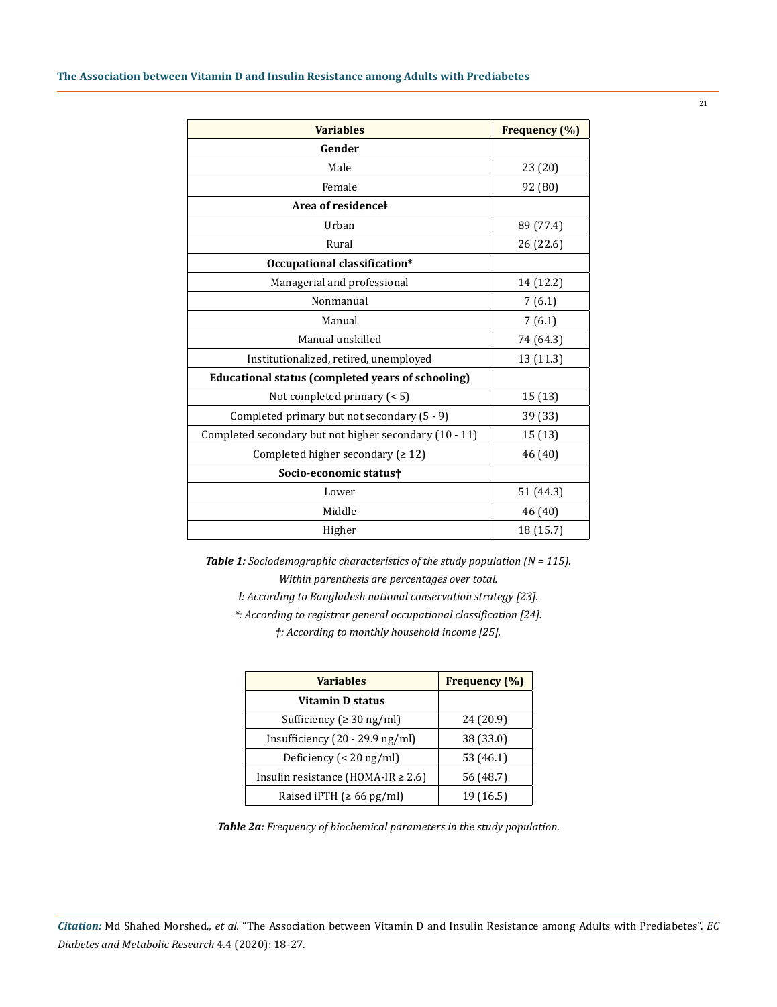| <b>Variables</b>                                       | Frequency (%) |
|--------------------------------------------------------|---------------|
| Gender                                                 |               |
| Male                                                   | 23 (20)       |
| Female                                                 | 92 (80)       |
| Area of residence                                      |               |
| Urban                                                  | 89 (77.4)     |
| Rural                                                  | 26 (22.6)     |
| Occupational classification*                           |               |
| Managerial and professional                            | 14 (12.2)     |
| Nonmanual                                              | 7(6.1)        |
| Manual                                                 | 7(6.1)        |
| Manual unskilled                                       | 74 (64.3)     |
| Institutionalized, retired, unemployed                 | 13 (11.3)     |
| Educational status (completed years of schooling)      |               |
| Not completed primary $(< 5)$                          | 15(13)        |
| Completed primary but not secondary (5 - 9)            | 39 (33)       |
| Completed secondary but not higher secondary (10 - 11) | 15(13)        |
| Completed higher secondary ( $\geq 12$ )               | 46 (40)       |
| Socio-economic status†                                 |               |
| Lower                                                  | 51 (44.3)     |
| Middle                                                 | 46 (40)       |
| Higher                                                 | 18 (15.7)     |

*Table 1: Sociodemographic characteristics of the study population (N = 115). Within parenthesis are percentages over total.*

*ⱡ: According to Bangladesh national conservation strategy [23].*

*\*: According to registrar general occupational classification [24]. †: According to monthly household income [25].*

| <b>Variables</b>                        | Frequency (%) |  |
|-----------------------------------------|---------------|--|
| Vitamin D status                        |               |  |
| Sufficiency ( $\geq 30$ ng/ml)          | 24 (20.9)     |  |
| Insufficiency $(20 - 29.9)$ ng/ml       | 38 (33.0)     |  |
| Deficiency ( $<$ 20 ng/ml)              | 53 (46.1)     |  |
| Insulin resistance (HOMA-IR $\geq$ 2.6) | 56 (48.7)     |  |
| Raised iPTH $( \ge 66 \text{ pg/ml} )$  | 19 (16.5)     |  |

*Table 2a: Frequency of biochemical parameters in the study population.*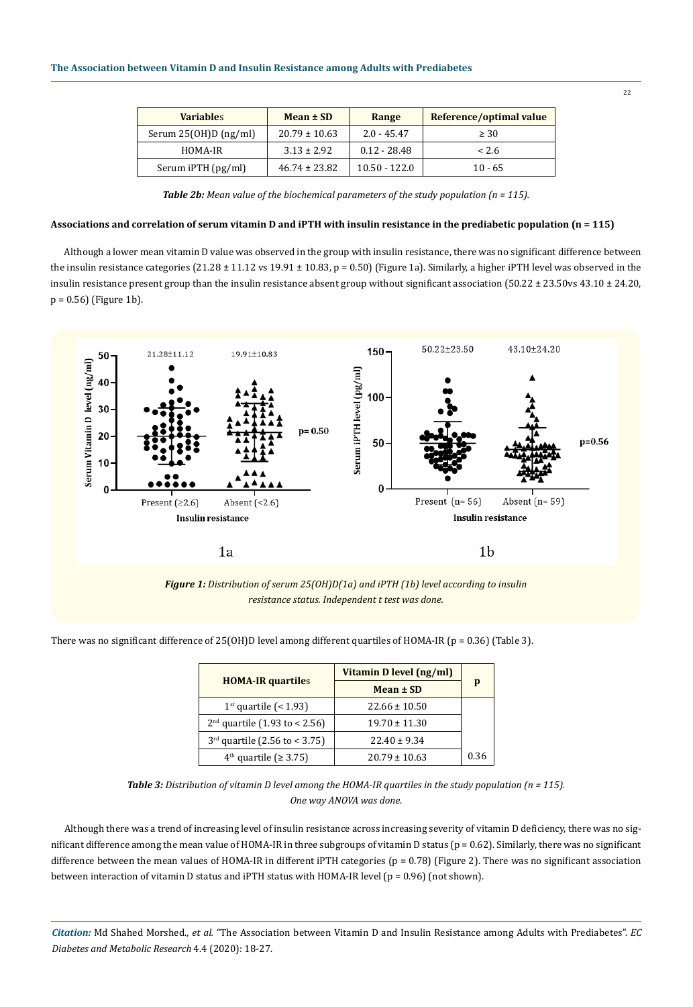| <b>Variables</b>       | Mean ± SD         | Range           | Reference/optimal value |
|------------------------|-------------------|-----------------|-------------------------|
| Serum $25(OH)D(ng/ml)$ | $20.79 \pm 10.63$ | $2.0 - 45.47$   | $\geq 30$               |
| HOMA-IR                | $3.13 \pm 2.92$   | $0.12 - 28.48$  | < 2.6                   |
| Serum iPTH (pg/ml)     | $46.74 \pm 23.82$ | $10.50 - 122.0$ | $10 - 65$               |

*Table 2b: Mean value of the biochemical parameters of the study population (n = 115).*

# **Associations and correlation of serum vitamin D and iPTH with insulin resistance in the prediabetic population (n = 115)**

Although a lower mean vitamin D value was observed in the group with insulin resistance, there was no significant difference between the insulin resistance categories  $(21.28 \pm 11.12 \text{ vs } 19.91 \pm 10.83, p = 0.50)$  (Figure 1a). Similarly, a higher iPTH level was observed in the insulin resistance present group than the insulin resistance absent group without significant association (50.22 ± 23.50vs 43.10 ± 24.20, p = 0.56) (Figure 1b).



*Figure 1: Distribution of serum 25(OH)D(1a) and iPTH (1b) level according to insulin resistance status. Independent t test was done.*

There was no significant difference of 25(OH)D level among different quartiles of HOMA-IR (p = 0.36) (Table 3).

|                                 | Vitamin D level (ng/ml) |      |
|---------------------------------|-------------------------|------|
| <b>HOMA-IR quartiles</b>        | Mean ± SD               | p    |
| $1st$ quartile (< 1.93)         | $22.66 \pm 10.50$       |      |
| $2nd$ quartile (1.93 to < 2.56) | $19.70 \pm 11.30$       |      |
| $3rd$ quartile (2.56 to < 3.75) | $22.40 \pm 9.34$        |      |
| $4th$ quartile ( $\geq 3.75$ )  | $20.79 \pm 10.63$       | 0.36 |

*Table 3: Distribution of vitamin D level among the HOMA-IR quartiles in the study population (n = 115). One way ANOVA was done.*

Although there was a trend of increasing level of insulin resistance across increasing severity of vitamin D deficiency, there was no significant difference among the mean value of HOMA-IR in three subgroups of vitamin D status ( $p = 0.62$ ). Similarly, there was no significant difference between the mean values of HOMA-IR in different iPTH categories (p = 0.78) (Figure 2). There was no significant association between interaction of vitamin D status and iPTH status with HOMA-IR level (p = 0.96) (not shown).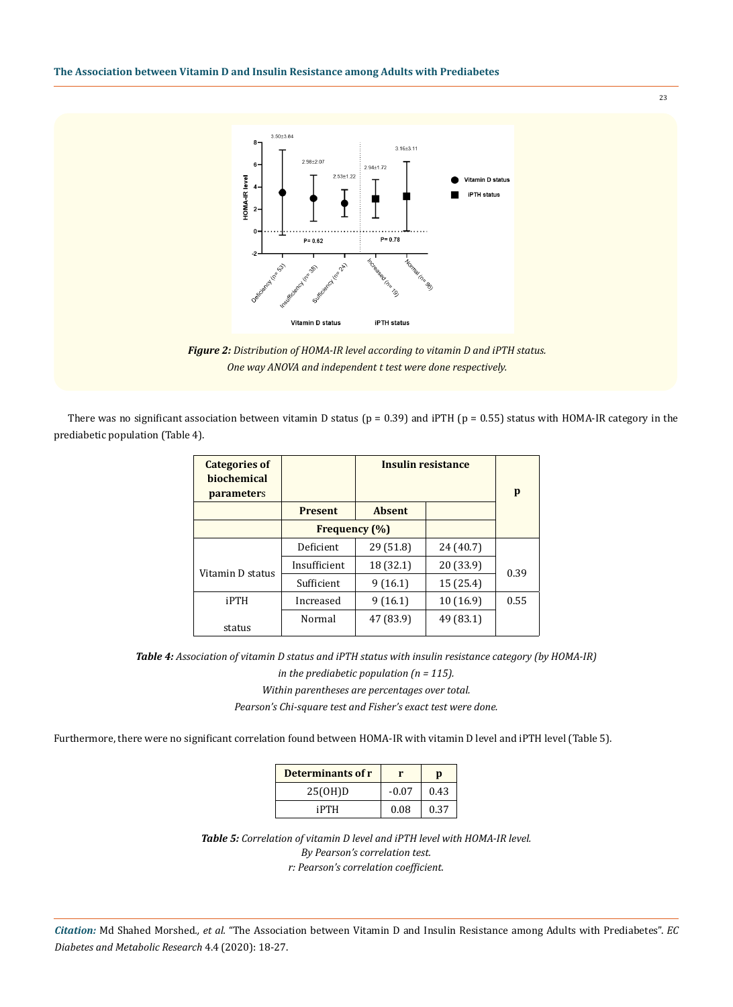

23

*Figure 2: Distribution of HOMA-IR level according to vitamin D and iPTH status. One way ANOVA and independent t test were done respectively.*

There was no significant association between vitamin D status ( $p = 0.39$ ) and iPTH ( $p = 0.55$ ) status with HOMA-IR category in the prediabetic population (Table 4).

| <b>Categories of</b><br><b>biochemical</b><br><b>parameters</b> |                      |               | <b>Insulin resistance</b> | p    |
|-----------------------------------------------------------------|----------------------|---------------|---------------------------|------|
|                                                                 | <b>Present</b>       | <b>Absent</b> |                           |      |
|                                                                 | <b>Frequency (%)</b> |               |                           |      |
|                                                                 | Deficient            | 29 (51.8)     | 24 (40.7)                 |      |
| Vitamin D status                                                | Insufficient         | 18 (32.1)     | 20 (33.9)                 | 0.39 |
|                                                                 | Sufficient           | 9(16.1)       | 15 (25.4)                 |      |
| iPTH                                                            | Increased            | 9(16.1)       | 10(16.9)                  | 0.55 |
| status                                                          | Normal               | 47 (83.9)     | 49 (83.1)                 |      |

*Table 4: Association of vitamin D status and iPTH status with insulin resistance category (by HOMA-IR)* 

*in the prediabetic population (n = 115). Within parentheses are percentages over total.*

*Pearson's Chi-square test and Fisher's exact test were done.*

Furthermore, there were no significant correlation found between HOMA-IR with vitamin D level and iPTH level (Table 5).

| Determinants of r |         | D    |
|-------------------|---------|------|
| 25(OH)D           | $-0.07$ | 0.43 |
| iPTH              | 0.08    | 0.37 |

*Table 5: Correlation of vitamin D level and iPTH level with HOMA-IR level. By Pearson's correlation test. r: Pearson's correlation coefficient.*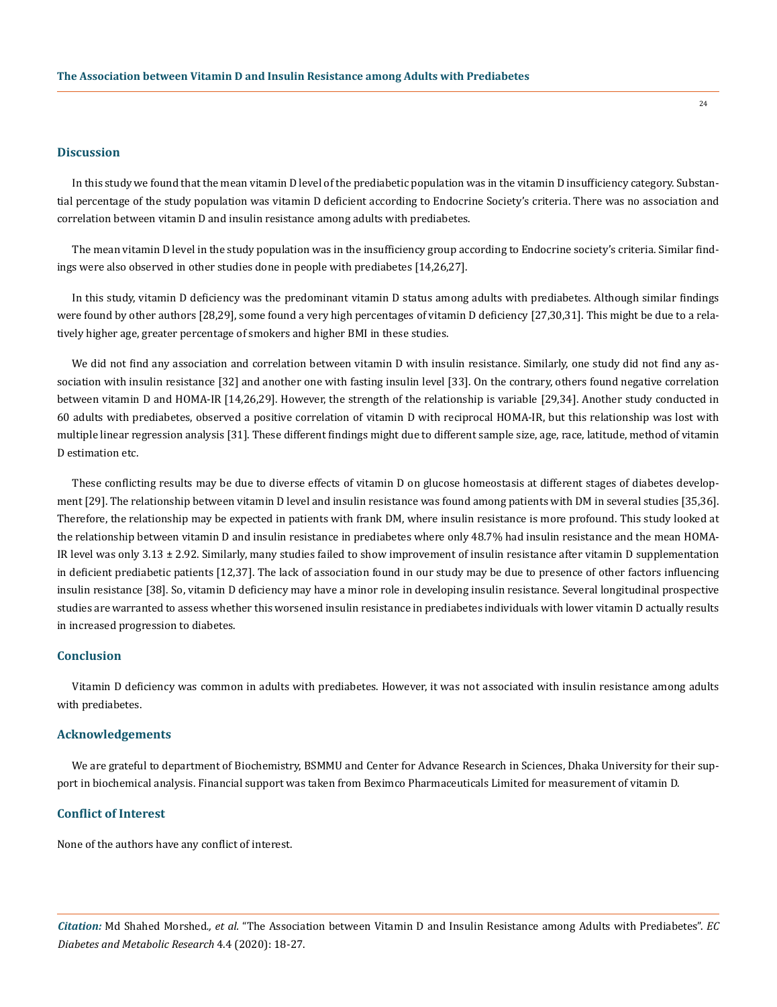#### **Discussion**

In this study we found that the mean vitamin D level of the prediabetic population was in the vitamin D insufficiency category. Substantial percentage of the study population was vitamin D deficient according to Endocrine Society's criteria. There was no association and correlation between vitamin D and insulin resistance among adults with prediabetes.

The mean vitamin D level in the study population was in the insufficiency group according to Endocrine society's criteria. Similar findings were also observed in other studies done in people with prediabetes [14,26,27].

In this study, vitamin D deficiency was the predominant vitamin D status among adults with prediabetes. Although similar findings were found by other authors [28,29], some found a very high percentages of vitamin D deficiency [27,30,31]. This might be due to a relatively higher age, greater percentage of smokers and higher BMI in these studies.

We did not find any association and correlation between vitamin D with insulin resistance. Similarly, one study did not find any association with insulin resistance [32] and another one with fasting insulin level [33]. On the contrary, others found negative correlation between vitamin D and HOMA-IR [14,26,29]. However, the strength of the relationship is variable [29,34]. Another study conducted in 60 adults with prediabetes, observed a positive correlation of vitamin D with reciprocal HOMA-IR, but this relationship was lost with multiple linear regression analysis [31]. These different findings might due to different sample size, age, race, latitude, method of vitamin D estimation etc.

These conflicting results may be due to diverse effects of vitamin D on glucose homeostasis at different stages of diabetes development [29]. The relationship between vitamin D level and insulin resistance was found among patients with DM in several studies [35,36]. Therefore, the relationship may be expected in patients with frank DM, where insulin resistance is more profound. This study looked at the relationship between vitamin D and insulin resistance in prediabetes where only 48.7% had insulin resistance and the mean HOMA-IR level was only  $3.13 \pm 2.92$ . Similarly, many studies failed to show improvement of insulin resistance after vitamin D supplementation in deficient prediabetic patients [12,37]. The lack of association found in our study may be due to presence of other factors influencing insulin resistance [38]. So, vitamin D deficiency may have a minor role in developing insulin resistance. Several longitudinal prospective studies are warranted to assess whether this worsened insulin resistance in prediabetes individuals with lower vitamin D actually results in increased progression to diabetes.

#### **Conclusion**

Vitamin D deficiency was common in adults with prediabetes. However, it was not associated with insulin resistance among adults with prediabetes.

#### **Acknowledgements**

We are grateful to department of Biochemistry, BSMMU and Center for Advance Research in Sciences, Dhaka University for their support in biochemical analysis. Financial support was taken from Beximco Pharmaceuticals Limited for measurement of vitamin D.

## **Conflict of Interest**

None of the authors have any conflict of interest.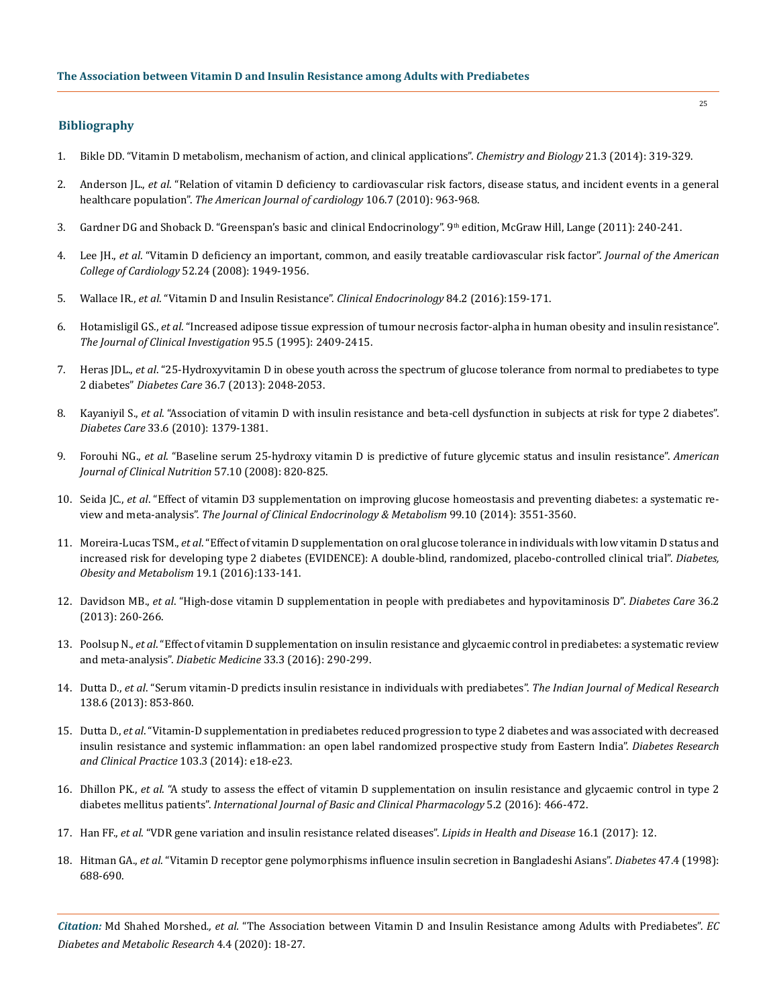# **Bibliography**

- 1. [Bikle DD. "Vitamin D metabolism, mechanism of action, and clinical applications".](https://www.ncbi.nlm.nih.gov/pmc/articles/PMC3968073/) *Chemistry and Biology* 21.3 (2014): 319-329.
- 2. Anderson JL., *et al*. ["Relation of vitamin D deficiency to cardiovascular risk factors, disease status, and incident events in a general](https://www.ncbi.nlm.nih.gov/pubmed/20854958)  healthcare population". *[The American Journal of cardiology](https://www.ncbi.nlm.nih.gov/pubmed/20854958)* 106.7 (2010): 963-968.
- 3. Gardner DG and Shoback D. "Greenspan's basic and clinical Endocrinology". 9th edition, McGraw Hill, Lange (2011): 240-241.
- 4. Lee JH., *et al*[. "Vitamin D deficiency an important, common, and easily treatable cardiovascular risk factor".](https://www.sciencedirect.com/science/article/pii/S0735109708031756) *Journal of the American [College of Cardiology](https://www.sciencedirect.com/science/article/pii/S0735109708031756)* 52.24 (2008): 1949-1956.
- 5. Wallace IR., *et al*[. "Vitamin D and Insulin Resistance".](file:///F:/ECronicon/ECDMR/ECDMR-20-RA-122/v) *Clinical Endocrinology* 84.2 (2016):159-171.
- 6. Hotamisligil GS., *et al*[. "Increased adipose tissue expression of tumour necrosis factor-alpha in human obesity and insulin resistance".](https://www.ncbi.nlm.nih.gov/pmc/articles/PMC295872/)  *[The Journal of Clinical Investigation](https://www.ncbi.nlm.nih.gov/pmc/articles/PMC295872/)* 95.5 (1995): 2409-2415.
- 7. Heras JDL., *et al*[. "25-Hydroxyvitamin D in obese youth across the spectrum of glucose tolerance from normal to prediabetes to type](https://www.ncbi.nlm.nih.gov/pubmed/23340897)  2 diabetes" *Diabetes Care* [36.7 \(2013\): 2048-2053.](https://www.ncbi.nlm.nih.gov/pubmed/23340897)
- 8. Kayaniyil S., *et al*[. "Association of vitamin D with insulin resistance and beta-cell dysfunction in subjects at risk for type 2 diabetes".](https://www.ncbi.nlm.nih.gov/pubmed/20215450) *Diabetes Care* [33.6 \(2010\): 1379-1381.](https://www.ncbi.nlm.nih.gov/pubmed/20215450)
- 9. Forouhi NG., *et al*[. "Baseline serum 25-hydroxy vitamin D is predictive of future glycemic status and insulin resistance".](https://www.ncbi.nlm.nih.gov/pubmed/18591391) *American [Journal of Clinical Nutrition](https://www.ncbi.nlm.nih.gov/pubmed/18591391)* 57.10 (2008): 820-825.
- 10. Seida JC., *et al*[. "Effect of vitamin D3 supplementation on improving glucose homeostasis and preventing diabetes: a systematic re](https://www.ncbi.nlm.nih.gov/pubmed/25062463)view and meta-analysis". *[The Journal of Clinical Endocrinology & Metabolism](https://www.ncbi.nlm.nih.gov/pubmed/25062463)* 99.10 (2014): 3551-3560.
- 11. Moreira-Lucas TSM., *et al*[. "Effect of vitamin D supplementation on oral glucose tolerance in individuals with low vitamin D status and](https://www.ncbi.nlm.nih.gov/pubmed/27717236) [increased risk for developing type 2 diabetes \(EVIDENCE\): A double-blind, randomized, placebo-controlled clinical trial".](https://www.ncbi.nlm.nih.gov/pubmed/27717236) *Diabetes, [Obesity and Metabolism](https://www.ncbi.nlm.nih.gov/pubmed/27717236)* 19.1 (2016):133-141.
- 12. Davidson MB., *et al*[. "High-dose vitamin D supplementation in people with prediabetes and hypovitaminosis D".](https://www.ncbi.nlm.nih.gov/pubmed/23033239) *Diabetes Care* 36.2 [\(2013\): 260-266.](https://www.ncbi.nlm.nih.gov/pubmed/23033239)
- 13. Poolsup N., *et al*[. "Effect of vitamin D supplementation on insulin resistance and glycaemic control in prediabetes: a systematic review](https://www.ncbi.nlm.nih.gov/pubmed/26308752)  and meta‐analysis". *Diabetic Medicine* [33.3 \(2016\): 290-299.](https://www.ncbi.nlm.nih.gov/pubmed/26308752)
- 14. Dutta D., *et al*[. "Serum vitamin-D predicts insulin resistance in individuals with prediabetes".](https://www.ncbi.nlm.nih.gov/pmc/articles/PMC3978972/) *The Indian Journal of Medical Research*  [138.6 \(2013\): 853-860.](https://www.ncbi.nlm.nih.gov/pmc/articles/PMC3978972/)
- 15. Dutta D., *et al*[. "Vitamin-D supplementation in prediabetes reduced progression to type 2 diabetes and was associated with decreased](https://www.ncbi.nlm.nih.gov/pubmed/24456991) [insulin resistance and systemic inflammation: an open label randomized prospective study from Eastern India".](https://www.ncbi.nlm.nih.gov/pubmed/24456991) *Diabetes Research and Clinical Practice* [103.3 \(2014\): e18-e23.](https://www.ncbi.nlm.nih.gov/pubmed/24456991)
- 16. Dhillon PK., *et al*[. "A study to assess the effect of vitamin D supplementation on insulin resistance and glycaemic control in type 2](https://www.ijbcp.com/index.php/ijbcp/article/view/281)  diabetes mellitus patients". *[International Journal of Basic and Clinical](https://www.ijbcp.com/index.php/ijbcp/article/view/281) Pharmacology* 5.2 (2016): 466-472.
- 17. Han FF., *et al*[. "VDR gene variation and insulin resistance related diseases".](https://www.ncbi.nlm.nih.gov/pubmed/28822353) *Lipids in Health and Disease* 16.1 (2017): 12.
- 18. Hitman GA., *et al*[. "Vitamin D receptor gene polymorphisms influence insulin secretion in Bangladeshi Asians".](https://www.ncbi.nlm.nih.gov/pubmed/9568705) *Diabetes* 47.4 (1998): [688-690.](https://www.ncbi.nlm.nih.gov/pubmed/9568705)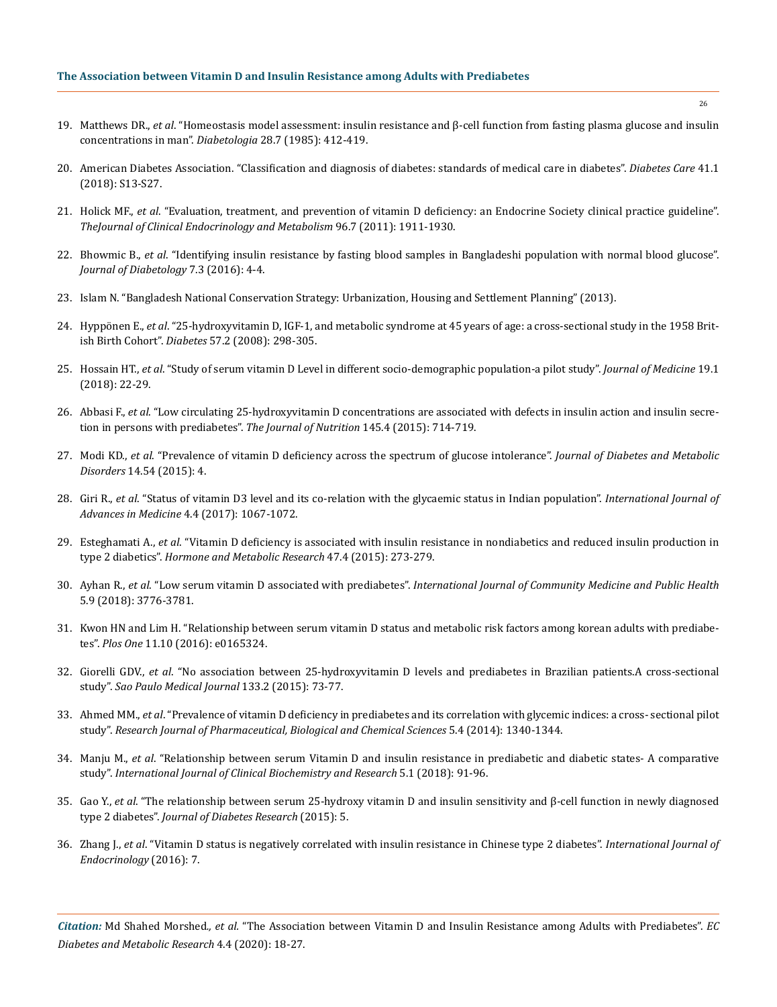- 19. Matthews DR., *et al*[. "Homeostasis model assessment: insulin resistance and β-cell function from fasting plasma glucose and insulin](https://www.ncbi.nlm.nih.gov/pubmed/3899825)  [concentrations in man".](https://www.ncbi.nlm.nih.gov/pubmed/3899825) *Diabetologia* 28.7 (1985): 412-419.
- 20. [American Diabetes Association. "Classification and diagnosis of diabetes: standards of medical care in diabetes".](https://care.diabetesjournals.org/content/43/Supplement_1/S14) *Diabetes Care* 41.1 [\(2018\): S13-S27.](https://care.diabetesjournals.org/content/43/Supplement_1/S14)
- 21. Holick MF., *et al*[. "Evaluation, treatment, and prevention of vitamin D deficiency: an Endocrine Society clinical practice guideline".](https://www.ncbi.nlm.nih.gov/pubmed/21646368)  *[TheJournal of Clinical Endocrinology and Metabolism](https://www.ncbi.nlm.nih.gov/pubmed/21646368)* 96.7 (2011): 1911-1930.
- 22. Bhowmic B., *et al*[. "Identifying insulin resistance by fasting blood samples in Bangladeshi population with normal blood glucose".](http://www.journalofdiabetology.org/article.asp?issn=2078-7685;year=2016;volume=7;issue=3;spage=4;epage=4;aulast=Bhowmik;type=0) *[Journal of Diabetology](http://www.journalofdiabetology.org/article.asp?issn=2078-7685;year=2016;volume=7;issue=3;spage=4;epage=4;aulast=Bhowmik;type=0)* 7.3 (2016): 4-4.
- 23. Islam N. "Bangladesh National Conservation Strategy: Urbanization, Housing and Settlement Planning" (2013).
- 24. Hyppönen E., *et al*[. "25-hydroxyvitamin D, IGF-1, and metabolic syndrome at 45 years of age: a cross-sectional study in the 1958 Brit](https://www.researchgate.net/publication/5842744_25-Hydroxyvitamin_D_IGF-1_and_Metabolic_Syndrome_at_45_Years_of_Age_A_Cross-Sectional_Study_in_the_1958_British_Birth_Cohort)ish Birth Cohort". *Diabetes* [57.2 \(2008\): 298-305.](https://www.researchgate.net/publication/5842744_25-Hydroxyvitamin_D_IGF-1_and_Metabolic_Syndrome_at_45_Years_of_Age_A_Cross-Sectional_Study_in_the_1958_British_Birth_Cohort)
- 25. Hossain HT., *et al*[. "Study of serum vitamin D Level in different socio-demographic population-a pilot study".](https://www.researchgate.net/publication/321651233_Study_of_Serum_Vitamin_D_Level_in_Different_Socio-Demographic_Population_-_A_Pilot_Study) *Journal of Medicine* 19.1 [\(2018\): 22-29.](https://www.researchgate.net/publication/321651233_Study_of_Serum_Vitamin_D_Level_in_Different_Socio-Demographic_Population_-_A_Pilot_Study)
- 26. Abbasi F., *et al*[. "Low circulating 25-hydroxyvitamin D concentrations are associated with defects in insulin action and insulin secre](https://www.ncbi.nlm.nih.gov/pubmed/25740907)[tion in persons with prediabetes".](https://www.ncbi.nlm.nih.gov/pubmed/25740907) *The Journal of Nutrition* 145.4 (2015): 714-719.
- 27. Modi KD., *et al*[. "Prevalence of vitamin D deficiency across the spectrum of glucose intolerance".](https://www.researchgate.net/publication/280030714_Prevalence_of_vitamin_D_deficiency_across_the_spectrum_of_glucose_intolerance) *Journal of Diabetes and Metabolic Disorders* [14.54 \(2015\): 4.](https://www.researchgate.net/publication/280030714_Prevalence_of_vitamin_D_deficiency_across_the_spectrum_of_glucose_intolerance)
- 28. Giri R., *et al*[. "Status of vitamin D3 level and its co-relation with the glycaemic status in Indian population".](https://www.ijmedicine.com/index.php/ijam/article/view/677) *International Journal of [Advances in Medicine](https://www.ijmedicine.com/index.php/ijam/article/view/677)* 4.4 (2017): 1067-1072.
- 29. Esteghamati A., *et al*[. "Vitamin D deficiency is associated with insulin resistance in nondiabetics and reduced insulin production in](https://www.ncbi.nlm.nih.gov/pubmed/25230322) type 2 diabetics". *[Hormone and Metabolic Research](https://www.ncbi.nlm.nih.gov/pubmed/25230322)* 47.4 (2015): 273-279.
- 30. Ayhan R., *et al*. "Low serum vitamin D associated with prediabetes". *[International Journal of Community Medicine and Public Health](https://www.researchgate.net/publication/327223386_Low_serum_vitamin_D_associated_with_prediabetes)* [5.9 \(2018\): 3776-3781.](https://www.researchgate.net/publication/327223386_Low_serum_vitamin_D_associated_with_prediabetes)
- 31. [Kwon HN and Lim H. "Relationship between serum vitamin D status and metabolic risk factors among korean adults with prediabe](https://www.researchgate.net/publication/309472938_Relationship_between_Serum_Vitamin_D_Status_and_Metabolic_Risk_Factors_among_Korean_Adults_with_Prediabetes)tes". *Plos One* [11.10 \(2016\): e0165324.](https://www.researchgate.net/publication/309472938_Relationship_between_Serum_Vitamin_D_Status_and_Metabolic_Risk_Factors_among_Korean_Adults_with_Prediabetes)
- 32. Giorelli GDV., *et al*[. "No association between 25-hydroxyvitamin D levels and prediabetes in Brazilian patients.A cross-sectional](http://www.scielo.br/scielo.php?pid=S1516-31802015000200073&script=sci_abstract) study". *[Sao Paulo Medical Journal](http://www.scielo.br/scielo.php?pid=S1516-31802015000200073&script=sci_abstract)* 133.2 (2015): 73-77.
- 33. Ahmed MM., *et al*[. "Prevalence of vitamin D deficiency in prediabetes and its correlation with glycemic indices: a cross- sectional pilot](https://www.researchgate.net/publication/286116391_Prevalence_of_vitamin_d_deficiency_in_prediabetes_and_its_correlation_with_glycemic_indices_A_cross-_sectional_pilot_study)  study". *[Research Journal of Pharmaceutical, Biological and Chemical](https://www.researchgate.net/publication/286116391_Prevalence_of_vitamin_d_deficiency_in_prediabetes_and_its_correlation_with_glycemic_indices_A_cross-_sectional_pilot_study) Sciences* 5.4 (2014): 1340-1344.
- 34. Manju M., *et al*[. "Relationship between serum Vitamin D and insulin resistance in prediabetic and diabetic states- A comparative](https://www.innovativepublication.com/journals/IJCBR/article-details/5929/volume/172/issue/480)  study". *[International Journal of Clinical Biochemistry and Research](https://www.innovativepublication.com/journals/IJCBR/article-details/5929/volume/172/issue/480)* 5.1 (2018): 91-96.
- 35. Gao Y., *et al*[. "The relationship between serum 25-hydroxy vitamin D and insulin sensitivity and β-cell function in newly diagnosed](https://www.hindawi.com/journals/jdr/2015/636891/) type 2 diabetes". *[Journal of Diabetes Research](https://www.hindawi.com/journals/jdr/2015/636891/)* (2015): 5.
- 36. Zhang J., *et al*[. "Vitamin D status is negatively correlated with insulin resistance in Chinese type 2 diabetes".](https://www.ncbi.nlm.nih.gov/pubmed/27413370) *International Journal of [Endocrinology](https://www.ncbi.nlm.nih.gov/pubmed/27413370)* (2016): 7.

*Citation:* Md Shahed Morshed*., et al.* "The Association between Vitamin D and Insulin Resistance among Adults with Prediabetes". *EC Diabetes and Metabolic Research* 4.4 (2020): 18-27.

26